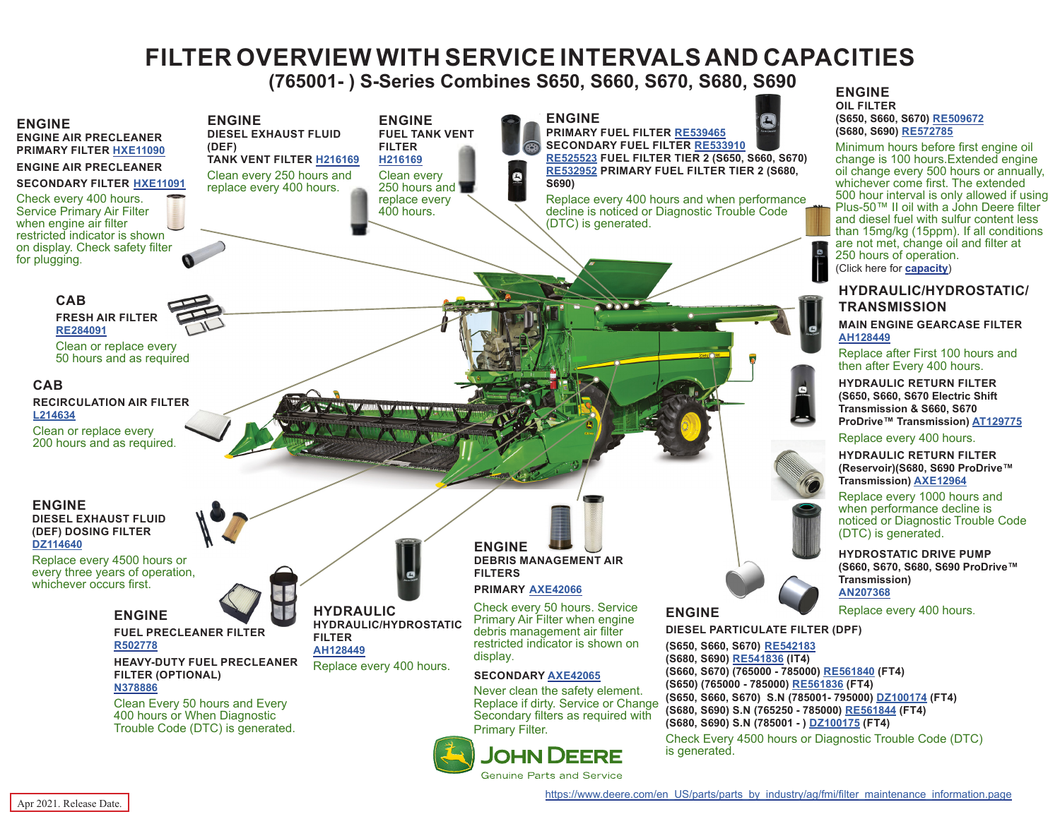# **FILTER OVERVIEW WITH SERVICE INTERVALS AND CAPACITIES**

 **(765001- ) S-Series Combines S650, S660, S670, S680, S690**

<span id="page-0-0"></span>

Apr 2021. Release Date.